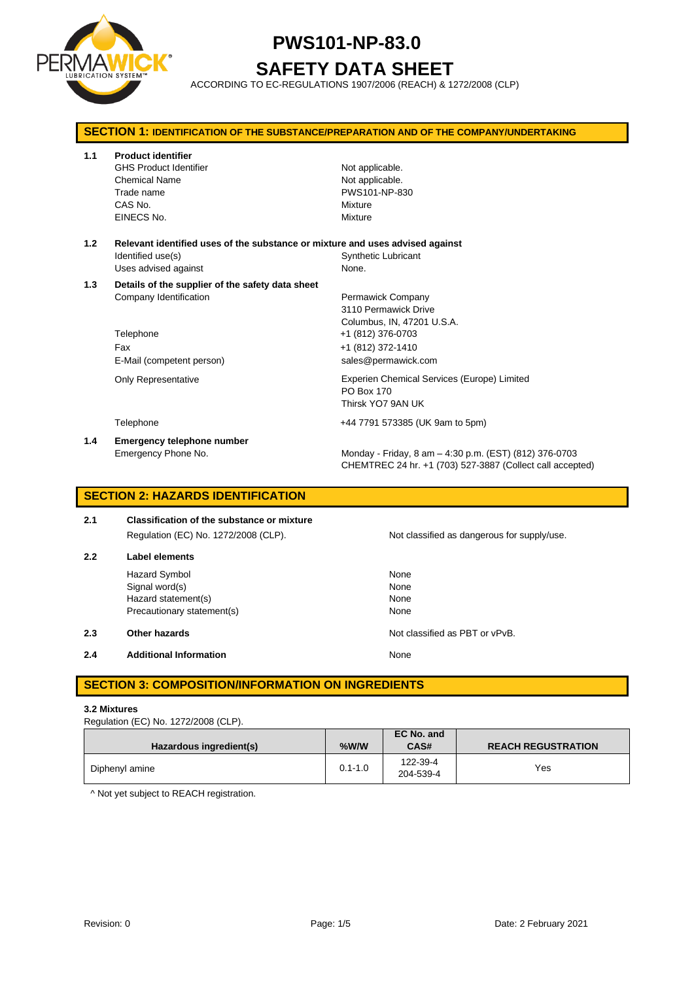

**SAFETY DATA SHEET**

ACCORDING TO EC-REGULATIONS 1907/2006 (REACH) & 1272/2008 (CLP)

| <b>SECTION 1: IDENTIFICATION OF THE SUBSTANCE/PREPARATION AND OF THE COMPANY/UNDERTAKING</b> |                                                                                                                            |                                                                                                                     |  |  |
|----------------------------------------------------------------------------------------------|----------------------------------------------------------------------------------------------------------------------------|---------------------------------------------------------------------------------------------------------------------|--|--|
| 1.1                                                                                          | <b>Product identifier</b><br><b>GHS Product Identifier</b><br><b>Chemical Name</b><br>Trade name<br>CAS No.<br>EINECS No.  | Not applicable.<br>Not applicable.<br>PWS101-NP-830<br>Mixture<br>Mixture                                           |  |  |
| 1.2                                                                                          | Relevant identified uses of the substance or mixture and uses advised against<br>Identified use(s)<br>Uses advised against | <b>Synthetic Lubricant</b><br>None.                                                                                 |  |  |
| 1.3                                                                                          | Details of the supplier of the safety data sheet<br>Company Identification<br>Telephone                                    | Permawick Company<br>3110 Permawick Drive<br>Columbus, IN, 47201 U.S.A.<br>+1 (812) 376-0703                        |  |  |
|                                                                                              | Fax<br>E-Mail (competent person)                                                                                           | +1 (812) 372-1410<br>sales@permawick.com                                                                            |  |  |
|                                                                                              | <b>Only Representative</b>                                                                                                 | Experien Chemical Services (Europe) Limited<br>PO Box 170<br>Thirsk YO7 9AN UK                                      |  |  |
|                                                                                              | Telephone                                                                                                                  | +44 7791 573385 (UK 9am to 5pm)                                                                                     |  |  |
| 1.4                                                                                          | Emergency telephone number<br>Emergency Phone No.                                                                          | Monday - Friday, 8 am - 4:30 p.m. (EST) (812) 376-0703<br>CHEMTREC 24 hr. +1 (703) 527-3887 (Collect call accepted) |  |  |

### **SECTION 2: HAZARDS IDENTIFICATION**

## **2.1 Classification of the substance or mixture** Regulation (EC) No. 1272/2008 (CLP). Not classified as dangerous for supply/use.

### **2.2 Label elements** Hazard Symbol None<br>
Signal word(s) None<br>
None  $Signal word(s)$ Hazard statement(s) None Precautionary statement(s) None

**2.3 Other hazards Detection According to the COVID-100 Motion Classified as PBT or vPvB.** 

#### **2.4 Additional Information None**

### **SECTION 3: COMPOSITION/INFORMATION ON INGREDIENTS**

#### **3.2 Mixtures**

Regulation (EC) No. 1272/2008 (CLP).

| Hazardous ingredient(s) | %W/W        | EC No. and<br>CAS#    | <b>REACH REGUSTRATION</b> |
|-------------------------|-------------|-----------------------|---------------------------|
| Diphenyl amine          | $0.1 - 1.0$ | 122-39-4<br>204-539-4 | Yes                       |

^ Not yet subject to REACH registration.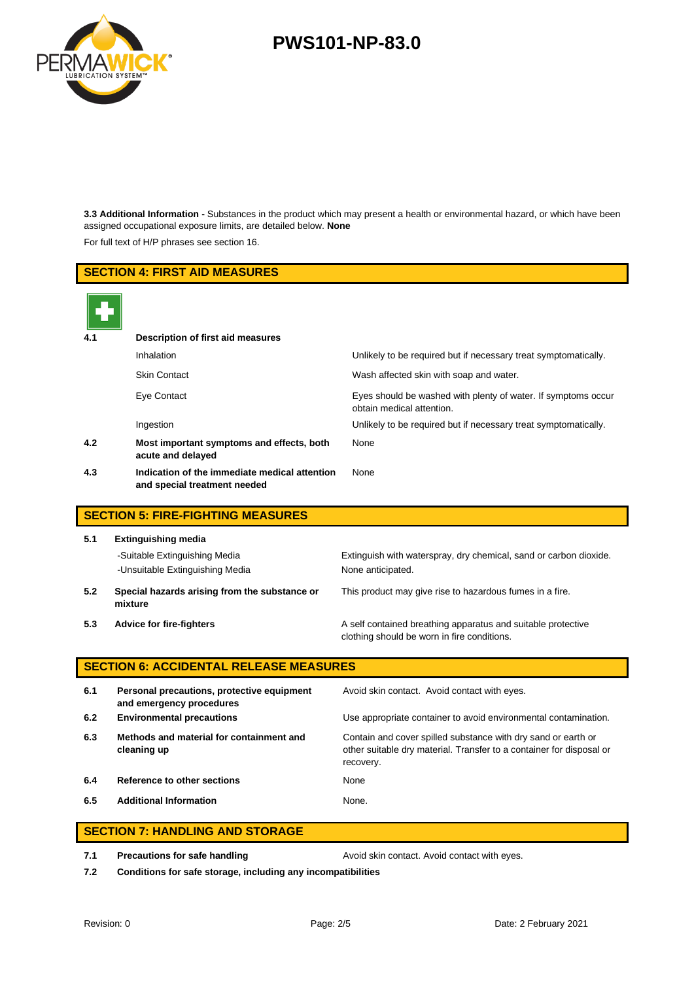

**3.3 Additional Information -** Substances in the product which may present a health or environmental hazard, or which have been assigned occupational exposure limits, are detailed below. **None**

For full text of H/P phrases see section 16.

## **SECTION 4: FIRST AID MEASURES 4.1 Description of first aid measures** Inhalation Unlikely to be required but if necessary treat symptomatically. Skin Contact **Wash affected skin with soap and water.** Eye Contact Eyes should be washed with plenty of water. If symptoms occur obtain medical attention. Ingestion Unlikely to be required but if necessary treat symptomatically. **4.2 Most important symptoms and effects, both acute and delayed** None **4.3 Indication of the immediate medical attention and special treatment needed** None **SECTION 5: FIRE-FIGHTING MEASURES 5.1 Extinguishing media** -Suitable Extinguishing Media Extinguish with waterspray, dry chemical, sand or carbon dioxide. -Unsuitable Extinguishing Media None anticipated. **5.2 Special hazards arising from the substance or mixture** This product may give rise to hazardous fumes in a fire. **5.3 Advice for fire-fighters A self** contained breathing apparatus and suitable protective clothing should be worn in fire conditions. **SECTION 6: ACCIDENTAL RELEASE MEASURES 6.1 Personal precautions, protective equipment and emergency procedures** Avoid skin contact. Avoid contact with eyes. **6.2 Environmental precautions** Use appropriate container to avoid environmental contamination. **6.3 Methods and material for containment and cleaning up** Contain and cover spilled substance with dry sand or earth or other suitable dry material. Transfer to a container for disposal or recovery. **6.4 Reference to other sections** None **6.5 Additional Information** None.

#### **SECTION 7: HANDLING AND STORAGE**

**7.1 Precautions for safe handling <b>Avoid** skin contact. Avoid contact with eyes.

**7.2 Conditions for safe storage, including any incompatibilities**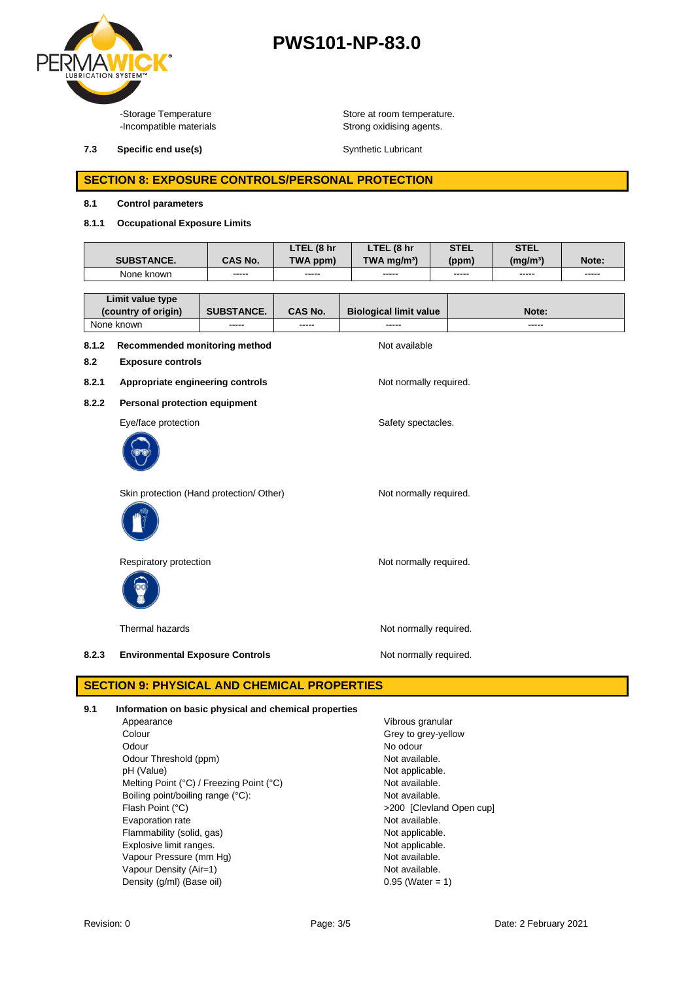

**7.3 Specific end use(s) Synthetic Lubricant** Synthetic Lubricant

-Storage Temperature **Store at room temperature.**<br>-Incompatible materials **Store at Proposition** Strong oxidising agents. Strong oxidising agents.

#### **SECTION 8: EXPOSURE CONTROLS/PERSONAL PROTECTION**

#### **8.1 Control parameters**

#### **8.1.1 Occupational Exposure Limits**

|                                         |                  | LTEL (8 hr | LTEL (8 hr                    | <b>STEL</b> | <b>STEL</b>          |       |
|-----------------------------------------|------------------|------------|-------------------------------|-------------|----------------------|-------|
| <b>SUBSTANCE.</b>                       | CAS No.          | TWA ppm)   | TWA mg/m <sup>3</sup> )       | (ppm)       | (mq/m <sup>3</sup> ) | Note: |
| None known                              | -----            | -----      | -----                         | -----       | -----                | ----- |
|                                         |                  |            |                               |             |                      |       |
| Limit value type<br>(country of origin) | <b>SURSTANCE</b> | CAS No     | <b>Riological limit value</b> |             | $N$ nte              |       |

## **(country of origin) SUBSTANCE. CAS No. Biological limit value Note:** None known ----- ----- ----- -----

#### **8.1.2 Recommended monitoring method** Not available

- **8.2 Exposure controls**
- 8.2.1 **Appropriate engineering controls** Not normally required.
- **8.2.2 Personal protection equipment**

Eye/face protection Safety spectacles.



Skin protection (Hand protection/ Other) Not normally required.



Respiratory protection Not normally required.



Thermal hazards **Not normally required.** Not normally required.

8.2.3 **Environmental Exposure Controls** Mot normally required.

**SECTION 9: PHYSICAL AND CHEMICAL PROPERTIES**

| 9.1 | Information on basic physical and chemical properties |                          |  |  |  |
|-----|-------------------------------------------------------|--------------------------|--|--|--|
|     | Appearance                                            | Vibrous granular         |  |  |  |
|     | Colour                                                | Grey to grey-yellow      |  |  |  |
|     | Odour                                                 | No odour                 |  |  |  |
|     | Odour Threshold (ppm)                                 | Not available.           |  |  |  |
|     | pH (Value)                                            | Not applicable.          |  |  |  |
|     | Melting Point (°C) / Freezing Point (°C)              | Not available.           |  |  |  |
|     | Boiling point/boiling range (°C):                     | Not available.           |  |  |  |
|     | Flash Point (°C)                                      | >200 [Clevland Open cup] |  |  |  |
|     | Evaporation rate                                      | Not available.           |  |  |  |
|     | Flammability (solid, gas)                             | Not applicable.          |  |  |  |
|     | Explosive limit ranges.                               | Not applicable.          |  |  |  |
|     | Vapour Pressure (mm Hg)                               | Not available.           |  |  |  |
|     | Vapour Density (Air=1)                                | Not available.           |  |  |  |
|     | Density (g/ml) (Base oil)                             | $0.95$ (Water = 1)       |  |  |  |
|     |                                                       |                          |  |  |  |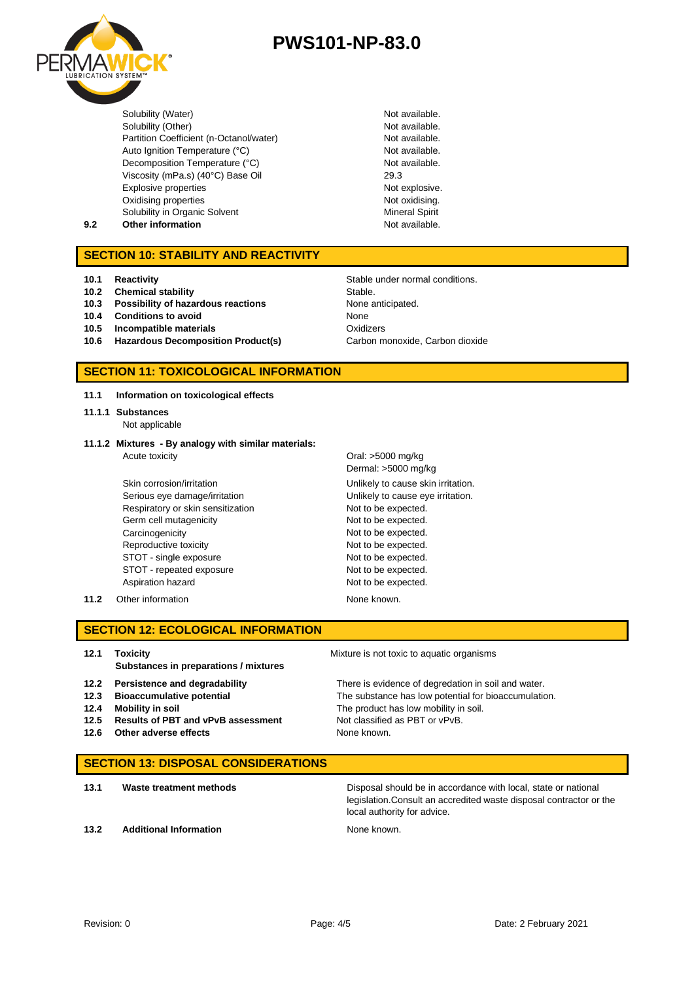

Solubility (Water) **Not available.**<br>
Solubility (Other) **Not available.**<br>
Not available. Solubility (Other) Partition Coefficient (n-Octanol/water) Not available. Auto Ignition Temperature (°C) Not available. Decomposition Temperature (°C) Not available. Viscosity (mPa.s) (40°C) Base Oil 29.3 Explosive properties **Not explosive.** Not explosive. Oxidising properties Solubility in Organic Solvent

Not oxidising. Mineral Spirit

#### **9.2 Other information Not available.**

#### **SECTION 10: STABILITY AND REACTIVITY**

- **10.1 Reactivity 10.1 Reactivity 10.1 Reactivity 10.1 Reactivity 10.1 Stable under normal conditions.**
- **10.2 Chemical stability** Stable.
- **10.3 Possibility of hazardous reactions** None anticipated.
- **10.4 Conditions to avoid** None
- **10.5 Incompatible materials** Oxidizers
- **10.6 Hazardous Decomposition Product(s)** Carbon monoxide, Carbon dioxide

#### **SECTION 11: TOXICOLOGICAL INFORMATION**

**11.1 Information on toxicological effects**

- **11.1.1 Substances** Not applicable
- **11.1.2 Mixtures - By analogy with similar materials:** Acute toxicity **Acute in the Contract Contract Contract Contract Contract Contract Contract Contract Contract Contract Contract Contract Contract Contract Contract Contract Contract Contract Contract Contract Contract Cont**

Skin corrosion/irritation **Unlikely to cause skin irritation**. Serious eye damage/irritation **Unlikely to cause eye irritation**. Respiratory or skin sensitization Not to be expected. Germ cell mutagenicity expected. Carcinogenicity Carcinogenicity Carcinogenicity Not to be expected. Reproductive toxicity Not to be expected. STOT - single exposure Not to be expected. STOT - repeated exposure Not to be expected. Aspiration hazard **Not to be expected.** 

Dermal: >5000 mg/kg

**11.2** Other information **None known.** None known.

**SECTION 12: ECOLOGICAL INFORMATION**

**12.1 Toxicity** Mixture is not toxic to aquatic organisms **Substances in preparations / mixtures**

- 
- 
- **12.5** Results of PBT and vPvB assessment
- **12.6** Other adverse effects None known.

**12.2 Persistence and degradability** There is evidence of degredation in soil and water. **12.3 Bioaccumulative potential** The substance has low potential for bioaccumulation. **12.4 Mobility in soil** The product has low mobility in soil.<br>**12.5 Results of PBT and vPvB assessment** Not classified as PBT or vPvB.

#### **SECTION 13: DISPOSAL CONSIDERATIONS**

**13.1 Waste treatment methods Disposal should be in accordance with local, state or national** legislation.Consult an accredited waste disposal contractor or the local authority for advice.

**13.2 Additional Information None known.**